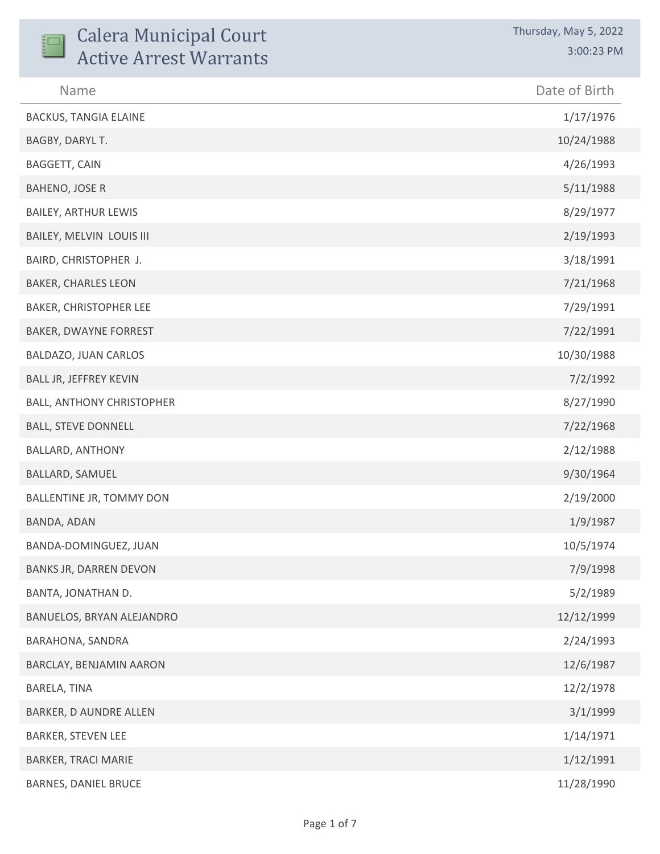| <b>Calera Municipal Court</b><br><b>Active Arrest Warrants</b> | Thursday, May 5, 2022<br>3:00:23 PM |
|----------------------------------------------------------------|-------------------------------------|
| Name                                                           | Date of Birth                       |
| <b>BACKUS, TANGIA ELAINE</b>                                   | 1/17/1976                           |
| BAGBY, DARYL T.                                                | 10/24/1988                          |
| <b>BAGGETT, CAIN</b>                                           | 4/26/1993                           |
| <b>BAHENO, JOSE R</b>                                          | 5/11/1988                           |
| <b>BAILEY, ARTHUR LEWIS</b>                                    | 8/29/1977                           |
| BAILEY, MELVIN LOUIS III                                       | 2/19/1993                           |
| BAIRD, CHRISTOPHER J.                                          | 3/18/1991                           |
| <b>BAKER, CHARLES LEON</b>                                     | 7/21/1968                           |
| BAKER, CHRISTOPHER LEE                                         | 7/29/1991                           |
| BAKER, DWAYNE FORREST                                          | 7/22/1991                           |
| BALDAZO, JUAN CARLOS                                           | 10/30/1988                          |
| BALL JR, JEFFREY KEVIN                                         | 7/2/1992                            |
| <b>BALL, ANTHONY CHRISTOPHER</b>                               | 8/27/1990                           |
| <b>BALL, STEVE DONNELL</b>                                     | 7/22/1968                           |
| <b>BALLARD, ANTHONY</b>                                        | 2/12/1988                           |
| BALLARD, SAMUEL                                                | 9/30/1964                           |
| BALLENTINE JR, TOMMY DON                                       | 2/19/2000                           |
| BANDA, ADAN                                                    | 1/9/1987                            |
| BANDA-DOMINGUEZ, JUAN                                          | 10/5/1974                           |
| <b>BANKS JR, DARREN DEVON</b>                                  | 7/9/1998                            |
| <b>BANTA, JONATHAN D.</b>                                      | 5/2/1989                            |
| BANUELOS, BRYAN ALEJANDRO                                      | 12/12/1999                          |
| BARAHONA, SANDRA                                               | 2/24/1993                           |
| BARCLAY, BENJAMIN AARON                                        | 12/6/1987                           |
| BARELA, TINA                                                   | 12/2/1978                           |
| BARKER, D AUNDRE ALLEN                                         | 3/1/1999                            |
| <b>BARKER, STEVEN LEE</b>                                      | 1/14/1971                           |
| <b>BARKER, TRACI MARIE</b>                                     | 1/12/1991                           |
| <b>BARNES, DANIEL BRUCE</b>                                    | 11/28/1990                          |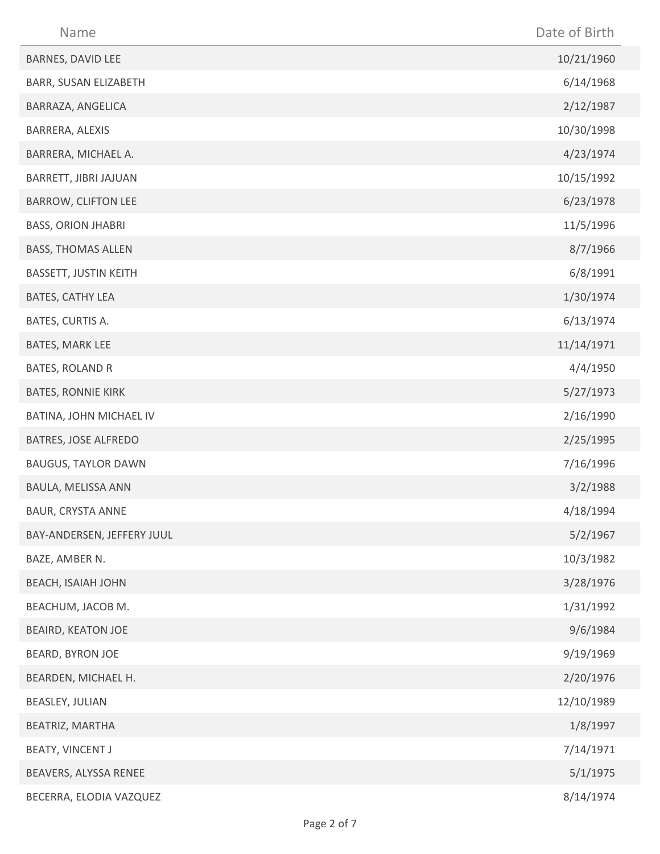| Name                         | Date of Birth |
|------------------------------|---------------|
| BARNES, DAVID LEE            | 10/21/1960    |
| BARR, SUSAN ELIZABETH        | 6/14/1968     |
| BARRAZA, ANGELICA            | 2/12/1987     |
| BARRERA, ALEXIS              | 10/30/1998    |
| BARRERA, MICHAEL A.          | 4/23/1974     |
| BARRETT, JIBRI JAJUAN        | 10/15/1992    |
| <b>BARROW, CLIFTON LEE</b>   | 6/23/1978     |
| <b>BASS, ORION JHABRI</b>    | 11/5/1996     |
| <b>BASS, THOMAS ALLEN</b>    | 8/7/1966      |
| <b>BASSETT, JUSTIN KEITH</b> | 6/8/1991      |
| BATES, CATHY LEA             | 1/30/1974     |
| BATES, CURTIS A.             | 6/13/1974     |
| BATES, MARK LEE              | 11/14/1971    |
| BATES, ROLAND R              | 4/4/1950      |
| <b>BATES, RONNIE KIRK</b>    | 5/27/1973     |
| BATINA, JOHN MICHAEL IV      | 2/16/1990     |
| BATRES, JOSE ALFREDO         | 2/25/1995     |
| <b>BAUGUS, TAYLOR DAWN</b>   | 7/16/1996     |
| BAULA, MELISSA ANN           | 3/2/1988      |
| <b>BAUR, CRYSTA ANNE</b>     | 4/18/1994     |
| BAY-ANDERSEN, JEFFERY JUUL   | 5/2/1967      |
| BAZE, AMBER N.               | 10/3/1982     |
| <b>BEACH, ISAIAH JOHN</b>    | 3/28/1976     |
| BEACHUM, JACOB M.            | 1/31/1992     |
| <b>BEAIRD, KEATON JOE</b>    | 9/6/1984      |
| BEARD, BYRON JOE             | 9/19/1969     |
| BEARDEN, MICHAEL H.          | 2/20/1976     |
| BEASLEY, JULIAN              | 12/10/1989    |
| BEATRIZ, MARTHA              | 1/8/1997      |
| BEATY, VINCENT J             | 7/14/1971     |
| BEAVERS, ALYSSA RENEE        | 5/1/1975      |
| BECERRA, ELODIA VAZQUEZ      | 8/14/1974     |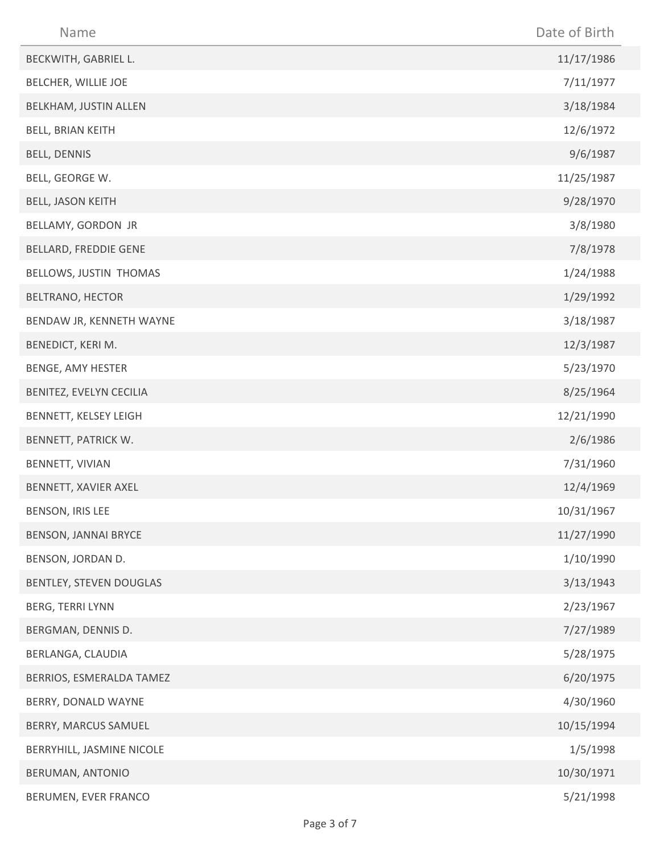| Name                      | Date of Birth |
|---------------------------|---------------|
| BECKWITH, GABRIEL L.      | 11/17/1986    |
| BELCHER, WILLIE JOE       | 7/11/1977     |
| BELKHAM, JUSTIN ALLEN     | 3/18/1984     |
| BELL, BRIAN KEITH         | 12/6/1972     |
| BELL, DENNIS              | 9/6/1987      |
| BELL, GEORGE W.           | 11/25/1987    |
| BELL, JASON KEITH         | 9/28/1970     |
| BELLAMY, GORDON JR        | 3/8/1980      |
| BELLARD, FREDDIE GENE     | 7/8/1978      |
| BELLOWS, JUSTIN THOMAS    | 1/24/1988     |
| BELTRANO, HECTOR          | 1/29/1992     |
| BENDAW JR, KENNETH WAYNE  | 3/18/1987     |
| BENEDICT, KERI M.         | 12/3/1987     |
| BENGE, AMY HESTER         | 5/23/1970     |
| BENITEZ, EVELYN CECILIA   | 8/25/1964     |
| BENNETT, KELSEY LEIGH     | 12/21/1990    |
| BENNETT, PATRICK W.       | 2/6/1986      |
| BENNETT, VIVIAN           | 7/31/1960     |
| BENNETT, XAVIER AXEL      | 12/4/1969     |
| BENSON, IRIS LEE          | 10/31/1967    |
| BENSON, JANNAI BRYCE      | 11/27/1990    |
| BENSON, JORDAN D.         | 1/10/1990     |
| BENTLEY, STEVEN DOUGLAS   | 3/13/1943     |
| BERG, TERRI LYNN          | 2/23/1967     |
| BERGMAN, DENNIS D.        | 7/27/1989     |
| BERLANGA, CLAUDIA         | 5/28/1975     |
| BERRIOS, ESMERALDA TAMEZ  | 6/20/1975     |
| BERRY, DONALD WAYNE       | 4/30/1960     |
| BERRY, MARCUS SAMUEL      | 10/15/1994    |
| BERRYHILL, JASMINE NICOLE | 1/5/1998      |
| BERUMAN, ANTONIO          | 10/30/1971    |
| BERUMEN, EVER FRANCO      | 5/21/1998     |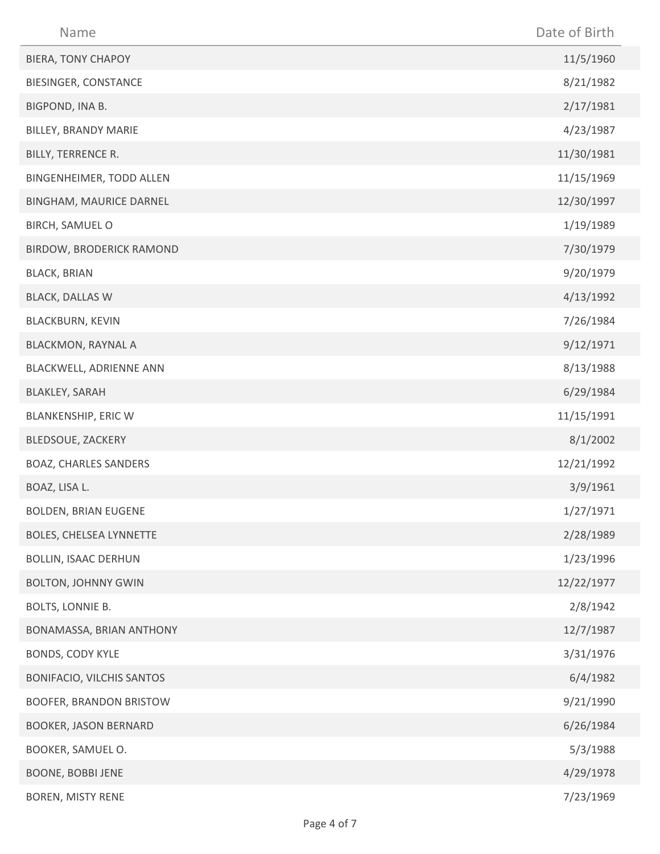| Name                            | Date of Birth |
|---------------------------------|---------------|
| <b>BIERA, TONY CHAPOY</b>       | 11/5/1960     |
| BIESINGER, CONSTANCE            | 8/21/1982     |
| BIGPOND, INA B.                 | 2/17/1981     |
| BILLEY, BRANDY MARIE            | 4/23/1987     |
| BILLY, TERRENCE R.              | 11/30/1981    |
| BINGENHEIMER, TODD ALLEN        | 11/15/1969    |
| BINGHAM, MAURICE DARNEL         | 12/30/1997    |
| BIRCH, SAMUEL O                 | 1/19/1989     |
| <b>BIRDOW, BRODERICK RAMOND</b> | 7/30/1979     |
| <b>BLACK, BRIAN</b>             | 9/20/1979     |
| <b>BLACK, DALLAS W</b>          | 4/13/1992     |
| BLACKBURN, KEVIN                | 7/26/1984     |
| <b>BLACKMON, RAYNAL A</b>       | 9/12/1971     |
| BLACKWELL, ADRIENNE ANN         | 8/13/1988     |
| <b>BLAKLEY, SARAH</b>           | 6/29/1984     |
| BLANKENSHIP, ERIC W             | 11/15/1991    |
| BLEDSOUE, ZACKERY               | 8/1/2002      |
| <b>BOAZ, CHARLES SANDERS</b>    | 12/21/1992    |
| BOAZ, LISA L.                   | 3/9/1961      |
| <b>BOLDEN, BRIAN EUGENE</b>     | 1/27/1971     |
| <b>BOLES, CHELSEA LYNNETTE</b>  | 2/28/1989     |
| <b>BOLLIN, ISAAC DERHUN</b>     | 1/23/1996     |
| <b>BOLTON, JOHNNY GWIN</b>      | 12/22/1977    |
| BOLTS, LONNIE B.                | 2/8/1942      |
| BONAMASSA, BRIAN ANTHONY        | 12/7/1987     |
| BONDS, CODY KYLE                | 3/31/1976     |
| BONIFACIO, VILCHIS SANTOS       | 6/4/1982      |
| <b>BOOFER, BRANDON BRISTOW</b>  | 9/21/1990     |
| <b>BOOKER, JASON BERNARD</b>    | 6/26/1984     |
| BOOKER, SAMUEL O.               | 5/3/1988      |
| <b>BOONE, BOBBI JENE</b>        | 4/29/1978     |
| BOREN, MISTY RENE               | 7/23/1969     |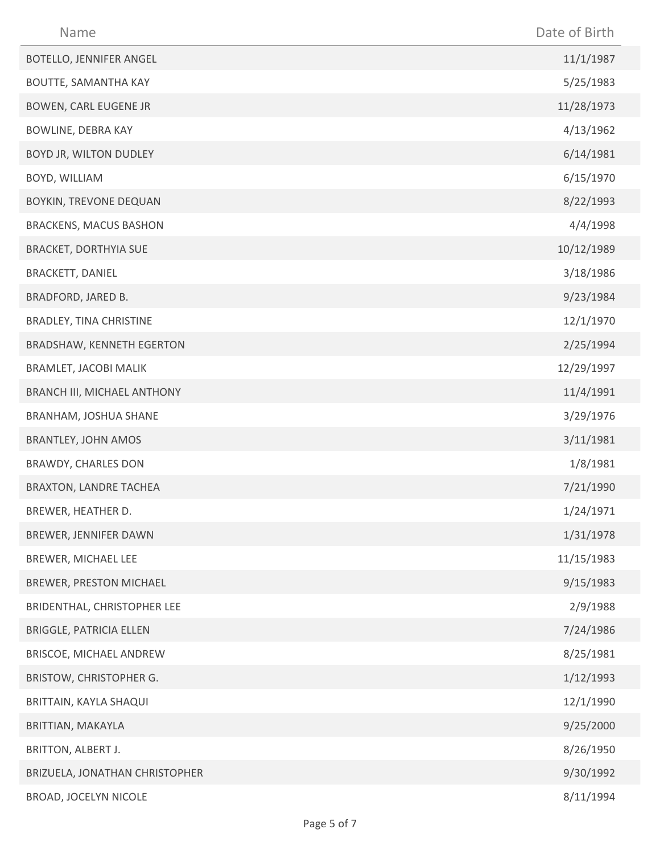| Name                             | Date of Birth |
|----------------------------------|---------------|
| <b>BOTELLO, JENNIFER ANGEL</b>   | 11/1/1987     |
| BOUTTE, SAMANTHA KAY             | 5/25/1983     |
| <b>BOWEN, CARL EUGENE JR</b>     | 11/28/1973    |
| <b>BOWLINE, DEBRA KAY</b>        | 4/13/1962     |
| BOYD JR, WILTON DUDLEY           | 6/14/1981     |
| BOYD, WILLIAM                    | 6/15/1970     |
| BOYKIN, TREVONE DEQUAN           | 8/22/1993     |
| <b>BRACKENS, MACUS BASHON</b>    | 4/4/1998      |
| <b>BRACKET, DORTHYIA SUE</b>     | 10/12/1989    |
| BRACKETT, DANIEL                 | 3/18/1986     |
| BRADFORD, JARED B.               | 9/23/1984     |
| BRADLEY, TINA CHRISTINE          | 12/1/1970     |
| <b>BRADSHAW, KENNETH EGERTON</b> | 2/25/1994     |
| <b>BRAMLET, JACOBI MALIK</b>     | 12/29/1997    |
| BRANCH III, MICHAEL ANTHONY      | 11/4/1991     |
| BRANHAM, JOSHUA SHANE            | 3/29/1976     |
| <b>BRANTLEY, JOHN AMOS</b>       | 3/11/1981     |
| BRAWDY, CHARLES DON              | 1/8/1981      |
| <b>BRAXTON, LANDRE TACHEA</b>    | 7/21/1990     |
| BREWER, HEATHER D.               | 1/24/1971     |
| BREWER, JENNIFER DAWN            | 1/31/1978     |
| BREWER, MICHAEL LEE              | 11/15/1983    |
| BREWER, PRESTON MICHAEL          | 9/15/1983     |
| BRIDENTHAL, CHRISTOPHER LEE      | 2/9/1988      |
| <b>BRIGGLE, PATRICIA ELLEN</b>   | 7/24/1986     |
| BRISCOE, MICHAEL ANDREW          | 8/25/1981     |
| BRISTOW, CHRISTOPHER G.          | 1/12/1993     |
| BRITTAIN, KAYLA SHAQUI           | 12/1/1990     |
| BRITTIAN, MAKAYLA                | 9/25/2000     |
| BRITTON, ALBERT J.               | 8/26/1950     |
| BRIZUELA, JONATHAN CHRISTOPHER   | 9/30/1992     |
| BROAD, JOCELYN NICOLE            | 8/11/1994     |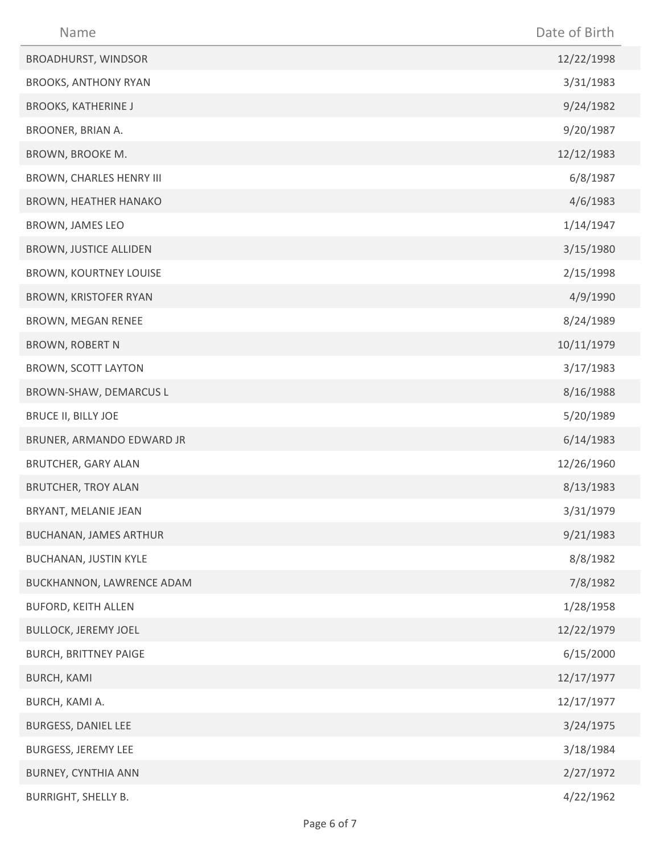| Name                          | Date of Birth |
|-------------------------------|---------------|
| <b>BROADHURST, WINDSOR</b>    | 12/22/1998    |
| <b>BROOKS, ANTHONY RYAN</b>   | 3/31/1983     |
| <b>BROOKS, KATHERINE J</b>    | 9/24/1982     |
| BROONER, BRIAN A.             | 9/20/1987     |
| BROWN, BROOKE M.              | 12/12/1983    |
| BROWN, CHARLES HENRY III      | 6/8/1987      |
| <b>BROWN, HEATHER HANAKO</b>  | 4/6/1983      |
| BROWN, JAMES LEO              | 1/14/1947     |
| <b>BROWN, JUSTICE ALLIDEN</b> | 3/15/1980     |
| <b>BROWN, KOURTNEY LOUISE</b> | 2/15/1998     |
| BROWN, KRISTOFER RYAN         | 4/9/1990      |
| BROWN, MEGAN RENEE            | 8/24/1989     |
| <b>BROWN, ROBERT N</b>        | 10/11/1979    |
| <b>BROWN, SCOTT LAYTON</b>    | 3/17/1983     |
| BROWN-SHAW, DEMARCUS L        | 8/16/1988     |
| <b>BRUCE II, BILLY JOE</b>    | 5/20/1989     |
| BRUNER, ARMANDO EDWARD JR     | 6/14/1983     |
| <b>BRUTCHER, GARY ALAN</b>    | 12/26/1960    |
| <b>BRUTCHER, TROY ALAN</b>    | 8/13/1983     |
| BRYANT, MELANIE JEAN          | 3/31/1979     |
| <b>BUCHANAN, JAMES ARTHUR</b> | 9/21/1983     |
| BUCHANAN, JUSTIN KYLE         | 8/8/1982      |
| BUCKHANNON, LAWRENCE ADAM     | 7/8/1982      |
| <b>BUFORD, KEITH ALLEN</b>    | 1/28/1958     |
| <b>BULLOCK, JEREMY JOEL</b>   | 12/22/1979    |
| <b>BURCH, BRITTNEY PAIGE</b>  | 6/15/2000     |
| <b>BURCH, KAMI</b>            | 12/17/1977    |
| BURCH, KAMI A.                | 12/17/1977    |
| BURGESS, DANIEL LEE           | 3/24/1975     |
| <b>BURGESS, JEREMY LEE</b>    | 3/18/1984     |
| BURNEY, CYNTHIA ANN           | 2/27/1972     |
| <b>BURRIGHT, SHELLY B.</b>    | 4/22/1962     |